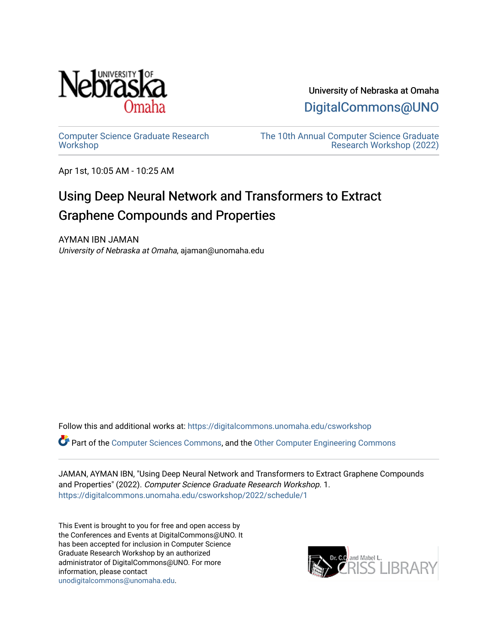

University of Nebraska at Omaha

[DigitalCommons@UNO](https://digitalcommons.unomaha.edu/) 

[Computer Science Graduate Research](https://digitalcommons.unomaha.edu/csworkshop) **[Workshop](https://digitalcommons.unomaha.edu/csworkshop)** 

[The 10th Annual Computer Science Graduate](https://digitalcommons.unomaha.edu/csworkshop/2022)  [Research Workshop \(2022\)](https://digitalcommons.unomaha.edu/csworkshop/2022) 

Apr 1st, 10:05 AM - 10:25 AM

## Using Deep Neural Network and Transformers to Extract Graphene Compounds and Properties

AYMAN IBN JAMAN University of Nebraska at Omaha, ajaman@unomaha.edu

Follow this and additional works at: [https://digitalcommons.unomaha.edu/csworkshop](https://digitalcommons.unomaha.edu/csworkshop?utm_source=digitalcommons.unomaha.edu%2Fcsworkshop%2F2022%2Fschedule%2F1&utm_medium=PDF&utm_campaign=PDFCoverPages) 

Part of the [Computer Sciences Commons](http://network.bepress.com/hgg/discipline/142?utm_source=digitalcommons.unomaha.edu%2Fcsworkshop%2F2022%2Fschedule%2F1&utm_medium=PDF&utm_campaign=PDFCoverPages), and the [Other Computer Engineering Commons](http://network.bepress.com/hgg/discipline/265?utm_source=digitalcommons.unomaha.edu%2Fcsworkshop%2F2022%2Fschedule%2F1&utm_medium=PDF&utm_campaign=PDFCoverPages) 

JAMAN, AYMAN IBN, "Using Deep Neural Network and Transformers to Extract Graphene Compounds and Properties" (2022). Computer Science Graduate Research Workshop. 1. [https://digitalcommons.unomaha.edu/csworkshop/2022/schedule/1](https://digitalcommons.unomaha.edu/csworkshop/2022/schedule/1?utm_source=digitalcommons.unomaha.edu%2Fcsworkshop%2F2022%2Fschedule%2F1&utm_medium=PDF&utm_campaign=PDFCoverPages) 

This Event is brought to you for free and open access by the Conferences and Events at DigitalCommons@UNO. It has been accepted for inclusion in Computer Science Graduate Research Workshop by an authorized administrator of DigitalCommons@UNO. For more information, please contact [unodigitalcommons@unomaha.edu.](mailto:unodigitalcommons@unomaha.edu)